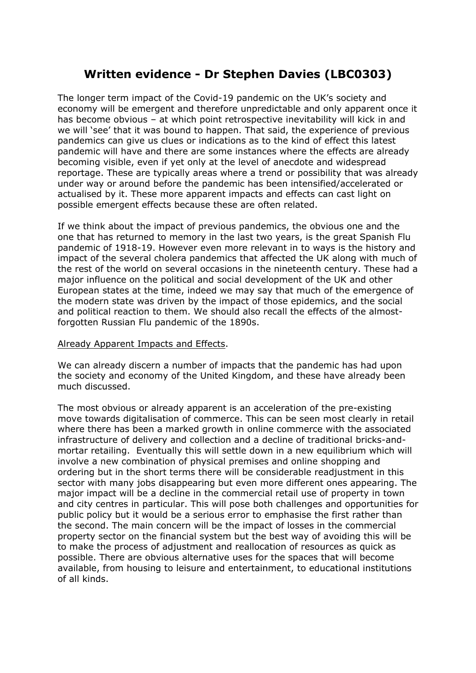## **Written evidence - Dr Stephen Davies (LBC0303)**

The longer term impact of the Covid-19 pandemic on the UK's society and economy will be emergent and therefore unpredictable and only apparent once it has become obvious – at which point retrospective inevitability will kick in and we will 'see' that it was bound to happen. That said, the experience of previous pandemics can give us clues or indications as to the kind of effect this latest pandemic will have and there are some instances where the effects are already becoming visible, even if yet only at the level of anecdote and widespread reportage. These are typically areas where a trend or possibility that was already under way or around before the pandemic has been intensified/accelerated or actualised by it. These more apparent impacts and effects can cast light on possible emergent effects because these are often related.

If we think about the impact of previous pandemics, the obvious one and the one that has returned to memory in the last two years, is the great Spanish Flu pandemic of 1918-19. However even more relevant in to ways is the history and impact of the several cholera pandemics that affected the UK along with much of the rest of the world on several occasions in the nineteenth century. These had a major influence on the political and social development of the UK and other European states at the time, indeed we may say that much of the emergence of the modern state was driven by the impact of those epidemics, and the social and political reaction to them. We should also recall the effects of the almostforgotten Russian Flu pandemic of the 1890s.

## Already Apparent Impacts and Effects.

We can already discern a number of impacts that the pandemic has had upon the society and economy of the United Kingdom, and these have already been much discussed.

The most obvious or already apparent is an acceleration of the pre-existing move towards digitalisation of commerce. This can be seen most clearly in retail where there has been a marked growth in online commerce with the associated infrastructure of delivery and collection and a decline of traditional bricks-andmortar retailing. Eventually this will settle down in a new equilibrium which will involve a new combination of physical premises and online shopping and ordering but in the short terms there will be considerable readjustment in this sector with many jobs disappearing but even more different ones appearing. The major impact will be a decline in the commercial retail use of property in town and city centres in particular. This will pose both challenges and opportunities for public policy but it would be a serious error to emphasise the first rather than the second. The main concern will be the impact of losses in the commercial property sector on the financial system but the best way of avoiding this will be to make the process of adjustment and reallocation of resources as quick as possible. There are obvious alternative uses for the spaces that will become available, from housing to leisure and entertainment, to educational institutions of all kinds.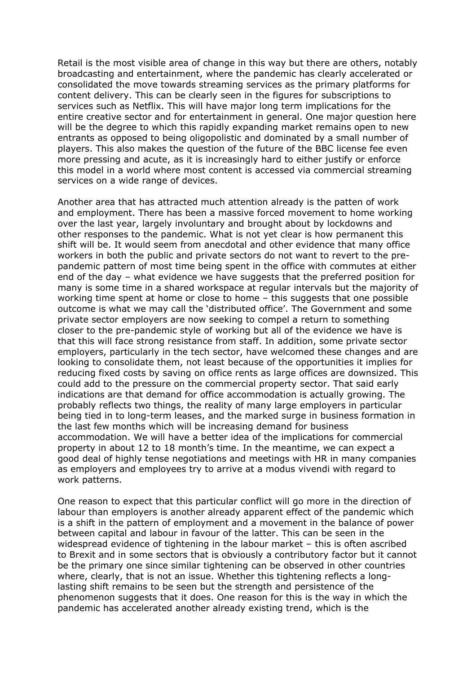Retail is the most visible area of change in this way but there are others, notably broadcasting and entertainment, where the pandemic has clearly accelerated or consolidated the move towards streaming services as the primary platforms for content delivery. This can be clearly seen in the figures for subscriptions to services such as Netflix. This will have major long term implications for the entire creative sector and for entertainment in general. One major question here will be the degree to which this rapidly expanding market remains open to new entrants as opposed to being oligopolistic and dominated by a small number of players. This also makes the question of the future of the BBC license fee even more pressing and acute, as it is increasingly hard to either justify or enforce this model in a world where most content is accessed via commercial streaming services on a wide range of devices.

Another area that has attracted much attention already is the patten of work and employment. There has been a massive forced movement to home working over the last year, largely involuntary and brought about by lockdowns and other responses to the pandemic. What is not yet clear is how permanent this shift will be. It would seem from anecdotal and other evidence that many office workers in both the public and private sectors do not want to revert to the prepandemic pattern of most time being spent in the office with commutes at either end of the day – what evidence we have suggests that the preferred position for many is some time in a shared workspace at regular intervals but the majority of working time spent at home or close to home – this suggests that one possible outcome is what we may call the 'distributed office'. The Government and some private sector employers are now seeking to compel a return to something closer to the pre-pandemic style of working but all of the evidence we have is that this will face strong resistance from staff. In addition, some private sector employers, particularly in the tech sector, have welcomed these changes and are looking to consolidate them, not least because of the opportunities it implies for reducing fixed costs by saving on office rents as large offices are downsized. This could add to the pressure on the commercial property sector. That said early indications are that demand for office accommodation is actually growing. The probably reflects two things, the reality of many large employers in particular being tied in to long-term leases, and the marked surge in business formation in the last few months which will be increasing demand for business accommodation. We will have a better idea of the implications for commercial property in about 12 to 18 month's time. In the meantime, we can expect a good deal of highly tense negotiations and meetings with HR in many companies as employers and employees try to arrive at a modus vivendi with regard to work patterns.

One reason to expect that this particular conflict will go more in the direction of labour than employers is another already apparent effect of the pandemic which is a shift in the pattern of employment and a movement in the balance of power between capital and labour in favour of the latter. This can be seen in the widespread evidence of tightening in the labour market – this is often ascribed to Brexit and in some sectors that is obviously a contributory factor but it cannot be the primary one since similar tightening can be observed in other countries where, clearly, that is not an issue. Whether this tightening reflects a longlasting shift remains to be seen but the strength and persistence of the phenomenon suggests that it does. One reason for this is the way in which the pandemic has accelerated another already existing trend, which is the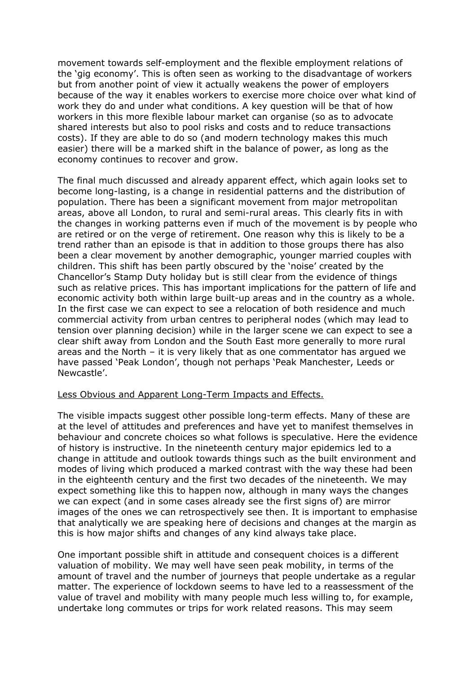movement towards self-employment and the flexible employment relations of the 'gig economy'. This is often seen as working to the disadvantage of workers but from another point of view it actually weakens the power of employers because of the way it enables workers to exercise more choice over what kind of work they do and under what conditions. A key question will be that of how workers in this more flexible labour market can organise (so as to advocate shared interests but also to pool risks and costs and to reduce transactions costs). If they are able to do so (and modern technology makes this much easier) there will be a marked shift in the balance of power, as long as the economy continues to recover and grow.

The final much discussed and already apparent effect, which again looks set to become long-lasting, is a change in residential patterns and the distribution of population. There has been a significant movement from major metropolitan areas, above all London, to rural and semi-rural areas. This clearly fits in with the changes in working patterns even if much of the movement is by people who are retired or on the verge of retirement. One reason why this is likely to be a trend rather than an episode is that in addition to those groups there has also been a clear movement by another demographic, younger married couples with children. This shift has been partly obscured by the 'noise' created by the Chancellor's Stamp Duty holiday but is still clear from the evidence of things such as relative prices. This has important implications for the pattern of life and economic activity both within large built-up areas and in the country as a whole. In the first case we can expect to see a relocation of both residence and much commercial activity from urban centres to peripheral nodes (which may lead to tension over planning decision) while in the larger scene we can expect to see a clear shift away from London and the South East more generally to more rural areas and the North – it is very likely that as one commentator has argued we have passed 'Peak London', though not perhaps 'Peak Manchester, Leeds or Newcastle'.

## Less Obvious and Apparent Long-Term Impacts and Effects.

The visible impacts suggest other possible long-term effects. Many of these are at the level of attitudes and preferences and have yet to manifest themselves in behaviour and concrete choices so what follows is speculative. Here the evidence of history is instructive. In the nineteenth century major epidemics led to a change in attitude and outlook towards things such as the built environment and modes of living which produced a marked contrast with the way these had been in the eighteenth century and the first two decades of the nineteenth. We may expect something like this to happen now, although in many ways the changes we can expect (and in some cases already see the first signs of) are mirror images of the ones we can retrospectively see then. It is important to emphasise that analytically we are speaking here of decisions and changes at the margin as this is how major shifts and changes of any kind always take place.

One important possible shift in attitude and consequent choices is a different valuation of mobility. We may well have seen peak mobility, in terms of the amount of travel and the number of journeys that people undertake as a regular matter. The experience of lockdown seems to have led to a reassessment of the value of travel and mobility with many people much less willing to, for example, undertake long commutes or trips for work related reasons. This may seem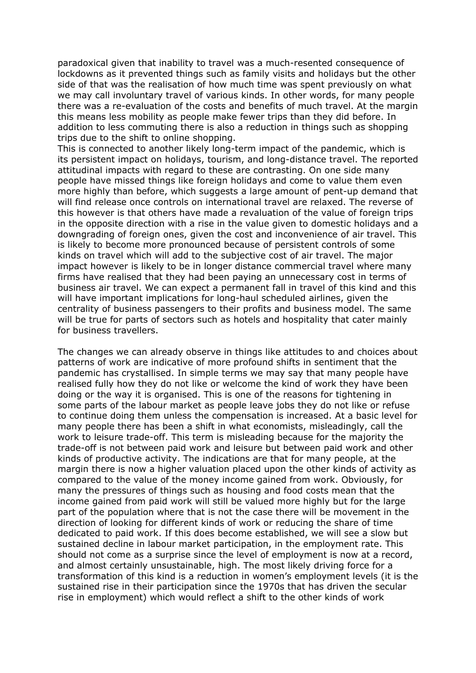paradoxical given that inability to travel was a much-resented consequence of lockdowns as it prevented things such as family visits and holidays but the other side of that was the realisation of how much time was spent previously on what we may call involuntary travel of various kinds. In other words, for many people there was a re-evaluation of the costs and benefits of much travel. At the margin this means less mobility as people make fewer trips than they did before. In addition to less commuting there is also a reduction in things such as shopping trips due to the shift to online shopping.

This is connected to another likely long-term impact of the pandemic, which is its persistent impact on holidays, tourism, and long-distance travel. The reported attitudinal impacts with regard to these are contrasting. On one side many people have missed things like foreign holidays and come to value them even more highly than before, which suggests a large amount of pent-up demand that will find release once controls on international travel are relaxed. The reverse of this however is that others have made a revaluation of the value of foreign trips in the opposite direction with a rise in the value given to domestic holidays and a downgrading of foreign ones, given the cost and inconvenience of air travel. This is likely to become more pronounced because of persistent controls of some kinds on travel which will add to the subjective cost of air travel. The major impact however is likely to be in longer distance commercial travel where many firms have realised that they had been paying an unnecessary cost in terms of business air travel. We can expect a permanent fall in travel of this kind and this will have important implications for long-haul scheduled airlines, given the centrality of business passengers to their profits and business model. The same will be true for parts of sectors such as hotels and hospitality that cater mainly for business travellers.

The changes we can already observe in things like attitudes to and choices about patterns of work are indicative of more profound shifts in sentiment that the pandemic has crystallised. In simple terms we may say that many people have realised fully how they do not like or welcome the kind of work they have been doing or the way it is organised. This is one of the reasons for tightening in some parts of the labour market as people leave jobs they do not like or refuse to continue doing them unless the compensation is increased. At a basic level for many people there has been a shift in what economists, misleadingly, call the work to leisure trade-off. This term is misleading because for the majority the trade-off is not between paid work and leisure but between paid work and other kinds of productive activity. The indications are that for many people, at the margin there is now a higher valuation placed upon the other kinds of activity as compared to the value of the money income gained from work. Obviously, for many the pressures of things such as housing and food costs mean that the income gained from paid work will still be valued more highly but for the large part of the population where that is not the case there will be movement in the direction of looking for different kinds of work or reducing the share of time dedicated to paid work. If this does become established, we will see a slow but sustained decline in labour market participation, in the employment rate. This should not come as a surprise since the level of employment is now at a record, and almost certainly unsustainable, high. The most likely driving force for a transformation of this kind is a reduction in women's employment levels (it is the sustained rise in their participation since the 1970s that has driven the secular rise in employment) which would reflect a shift to the other kinds of work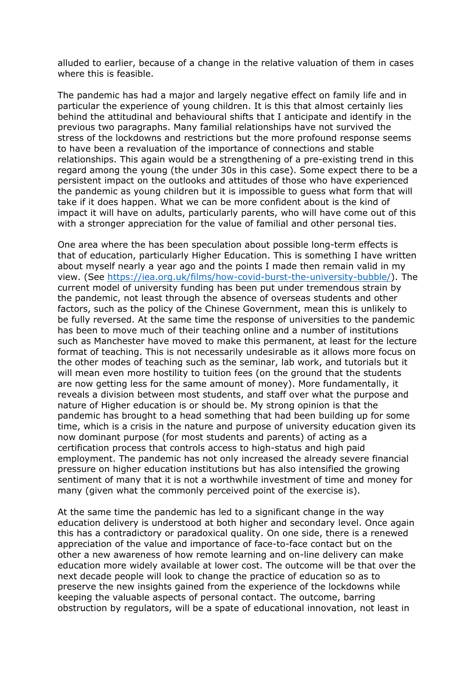alluded to earlier, because of a change in the relative valuation of them in cases where this is feasible.

The pandemic has had a major and largely negative effect on family life and in particular the experience of young children. It is this that almost certainly lies behind the attitudinal and behavioural shifts that I anticipate and identify in the previous two paragraphs. Many familial relationships have not survived the stress of the lockdowns and restrictions but the more profound response seems to have been a revaluation of the importance of connections and stable relationships. This again would be a strengthening of a pre-existing trend in this regard among the young (the under 30s in this case). Some expect there to be a persistent impact on the outlooks and attitudes of those who have experienced the pandemic as young children but it is impossible to guess what form that will take if it does happen. What we can be more confident about is the kind of impact it will have on adults, particularly parents, who will have come out of this with a stronger appreciation for the value of familial and other personal ties.

One area where the has been speculation about possible long-term effects is that of education, particularly Higher Education. This is something I have written about myself nearly a year ago and the points I made then remain valid in my view. (See [https://iea.org.uk/films/how-covid-burst-the-university-bubble/\)](https://iea.org.uk/films/how-covid-burst-the-university-bubble/). The current model of university funding has been put under tremendous strain by the pandemic, not least through the absence of overseas students and other factors, such as the policy of the Chinese Government, mean this is unlikely to be fully reversed. At the same time the response of universities to the pandemic has been to move much of their teaching online and a number of institutions such as Manchester have moved to make this permanent, at least for the lecture format of teaching. This is not necessarily undesirable as it allows more focus on the other modes of teaching such as the seminar, lab work, and tutorials but it will mean even more hostility to tuition fees (on the ground that the students are now getting less for the same amount of money). More fundamentally, it reveals a division between most students, and staff over what the purpose and nature of Higher education is or should be. My strong opinion is that the pandemic has brought to a head something that had been building up for some time, which is a crisis in the nature and purpose of university education given its now dominant purpose (for most students and parents) of acting as a certification process that controls access to high-status and high paid employment. The pandemic has not only increased the already severe financial pressure on higher education institutions but has also intensified the growing sentiment of many that it is not a worthwhile investment of time and money for many (given what the commonly perceived point of the exercise is).

At the same time the pandemic has led to a significant change in the way education delivery is understood at both higher and secondary level. Once again this has a contradictory or paradoxical quality. On one side, there is a renewed appreciation of the value and importance of face-to-face contact but on the other a new awareness of how remote learning and on-line delivery can make education more widely available at lower cost. The outcome will be that over the next decade people will look to change the practice of education so as to preserve the new insights gained from the experience of the lockdowns while keeping the valuable aspects of personal contact. The outcome, barring obstruction by regulators, will be a spate of educational innovation, not least in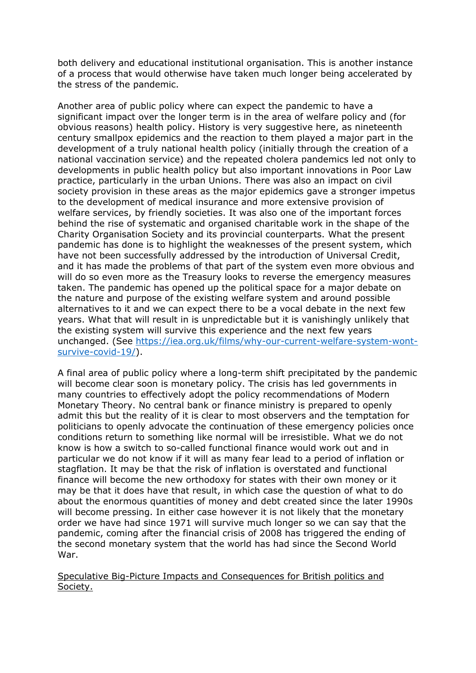both delivery and educational institutional organisation. This is another instance of a process that would otherwise have taken much longer being accelerated by the stress of the pandemic.

Another area of public policy where can expect the pandemic to have a significant impact over the longer term is in the area of welfare policy and (for obvious reasons) health policy. History is very suggestive here, as nineteenth century smallpox epidemics and the reaction to them played a major part in the development of a truly national health policy (initially through the creation of a national vaccination service) and the repeated cholera pandemics led not only to developments in public health policy but also important innovations in Poor Law practice, particularly in the urban Unions. There was also an impact on civil society provision in these areas as the major epidemics gave a stronger impetus to the development of medical insurance and more extensive provision of welfare services, by friendly societies. It was also one of the important forces behind the rise of systematic and organised charitable work in the shape of the Charity Organisation Society and its provincial counterparts. What the present pandemic has done is to highlight the weaknesses of the present system, which have not been successfully addressed by the introduction of Universal Credit, and it has made the problems of that part of the system even more obvious and will do so even more as the Treasury looks to reverse the emergency measures taken. The pandemic has opened up the political space for a major debate on the nature and purpose of the existing welfare system and around possible alternatives to it and we can expect there to be a vocal debate in the next few years. What that will result in is unpredictable but it is vanishingly unlikely that the existing system will survive this experience and the next few years unchanged. (See [https://iea.org.uk/films/why-our-current-welfare-system-wont](https://iea.org.uk/films/why-our-current-welfare-system-wont-survive-covid-19/)[survive-covid-19/\)](https://iea.org.uk/films/why-our-current-welfare-system-wont-survive-covid-19/).

A final area of public policy where a long-term shift precipitated by the pandemic will become clear soon is monetary policy. The crisis has led governments in many countries to effectively adopt the policy recommendations of Modern Monetary Theory. No central bank or finance ministry is prepared to openly admit this but the reality of it is clear to most observers and the temptation for politicians to openly advocate the continuation of these emergency policies once conditions return to something like normal will be irresistible. What we do not know is how a switch to so-called functional finance would work out and in particular we do not know if it will as many fear lead to a period of inflation or stagflation. It may be that the risk of inflation is overstated and functional finance will become the new orthodoxy for states with their own money or it may be that it does have that result, in which case the question of what to do about the enormous quantities of money and debt created since the later 1990s will become pressing. In either case however it is not likely that the monetary order we have had since 1971 will survive much longer so we can say that the pandemic, coming after the financial crisis of 2008 has triggered the ending of the second monetary system that the world has had since the Second World War.

Speculative Big-Picture Impacts and Consequences for British politics and Society.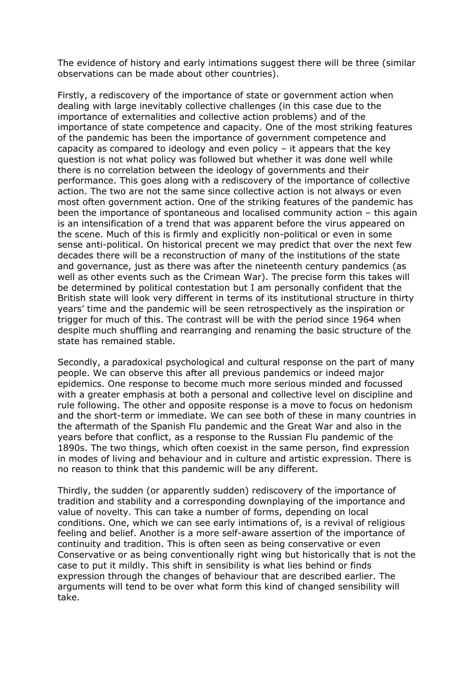The evidence of history and early intimations suggest there will be three (similar observations can be made about other countries).

Firstly, a rediscovery of the importance of state or government action when dealing with large inevitably collective challenges (in this case due to the importance of externalities and collective action problems) and of the importance of state competence and capacity. One of the most striking features of the pandemic has been the importance of government competence and capacity as compared to ideology and even policy – it appears that the key question is not what policy was followed but whether it was done well while there is no correlation between the ideology of governments and their performance. This goes along with a rediscovery of the importance of collective action. The two are not the same since collective action is not always or even most often government action. One of the striking features of the pandemic has been the importance of spontaneous and localised community action – this again is an intensification of a trend that was apparent before the virus appeared on the scene. Much of this is firmly and explicitly non-political or even in some sense anti-political. On historical precent we may predict that over the next few decades there will be a reconstruction of many of the institutions of the state and governance, just as there was after the nineteenth century pandemics (as well as other events such as the Crimean War). The precise form this takes will be determined by political contestation but I am personally confident that the British state will look very different in terms of its institutional structure in thirty years' time and the pandemic will be seen retrospectively as the inspiration or trigger for much of this. The contrast will be with the period since 1964 when despite much shuffling and rearranging and renaming the basic structure of the state has remained stable.

Secondly, a paradoxical psychological and cultural response on the part of many people. We can observe this after all previous pandemics or indeed major epidemics. One response to become much more serious minded and focussed with a greater emphasis at both a personal and collective level on discipline and rule following. The other and opposite response is a move to focus on hedonism and the short-term or immediate. We can see both of these in many countries in the aftermath of the Spanish Flu pandemic and the Great War and also in the years before that conflict, as a response to the Russian Flu pandemic of the 1890s. The two things, which often coexist in the same person, find expression in modes of living and behaviour and in culture and artistic expression. There is no reason to think that this pandemic will be any different.

Thirdly, the sudden (or apparently sudden) rediscovery of the importance of tradition and stability and a corresponding downplaying of the importance and value of novelty. This can take a number of forms, depending on local conditions. One, which we can see early intimations of, is a revival of religious feeling and belief. Another is a more self-aware assertion of the importance of continuity and tradition. This is often seen as being conservative or even Conservative or as being conventionally right wing but historically that is not the case to put it mildly. This shift in sensibility is what lies behind or finds expression through the changes of behaviour that are described earlier. The arguments will tend to be over what form this kind of changed sensibility will take.